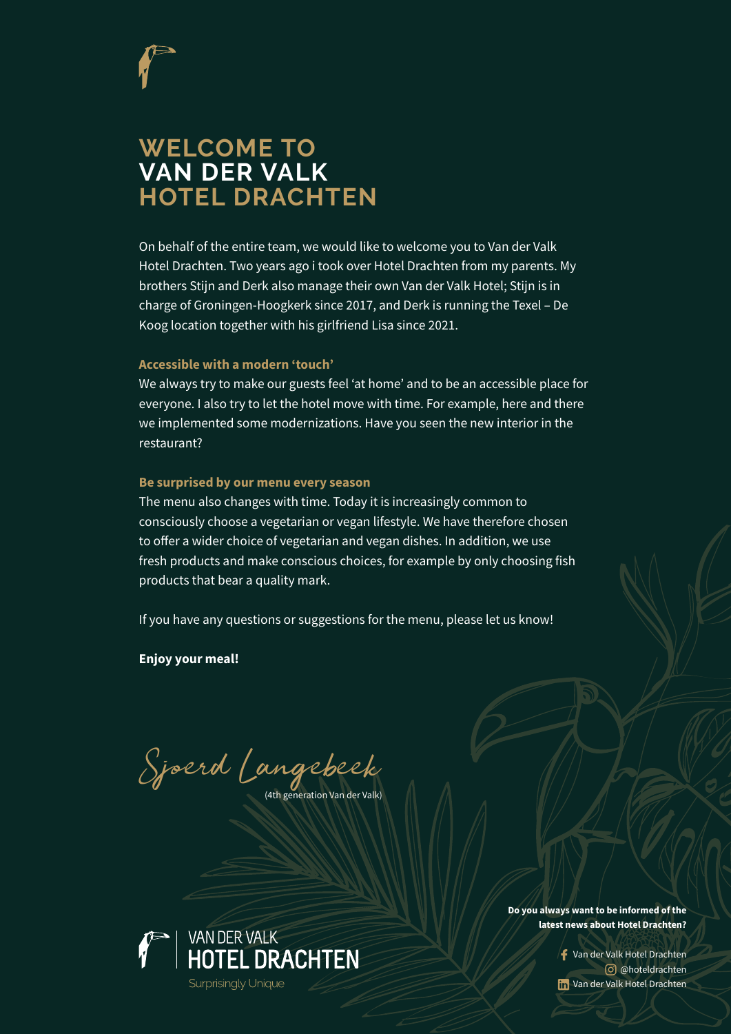

# **WELCOME TO VAN DER VALK HOTEL DRACHTEN**

On behalf of the entire team, we would like to welcome you to Van der Valk Hotel Drachten. Two years ago i took over Hotel Drachten from my parents. My brothers Stijn and Derk also manage their own Van der Valk Hotel; Stijn is in charge of Groningen-Hoogkerk since 2017, and Derk is running the Texel – De Koog location together with his girlfriend Lisa since 2021.

#### **Accessible with a modern 'touch'**

We always try to make our guests feel 'at home' and to be an accessible place for everyone. I also try to let the hotel move with time. For example, here and there we implemented some modernizations. Have you seen the new interior in the restaurant?

#### **Be surprised by our menu every season**

The menu also changes with time. Today it is increasingly common to consciously choose a vegetarian or vegan lifestyle. We have therefore chosen to offer a wider choice of vegetarian and vegan dishes. In addition, we use fresh products and make conscious choices, for example by only choosing fish products that bear a quality mark.

If you have any questions or suggestions for the menu, please let us know!

**Enjoy your meal!**

Sjoerd Langebeek (4th generation Van der Valk)



**Do you always want to be informed of the latest news about Hotel Drachten?**

> Van der Valk Hotel Drachten @hoteldrachten **In** Van der Valk Hotel Drachten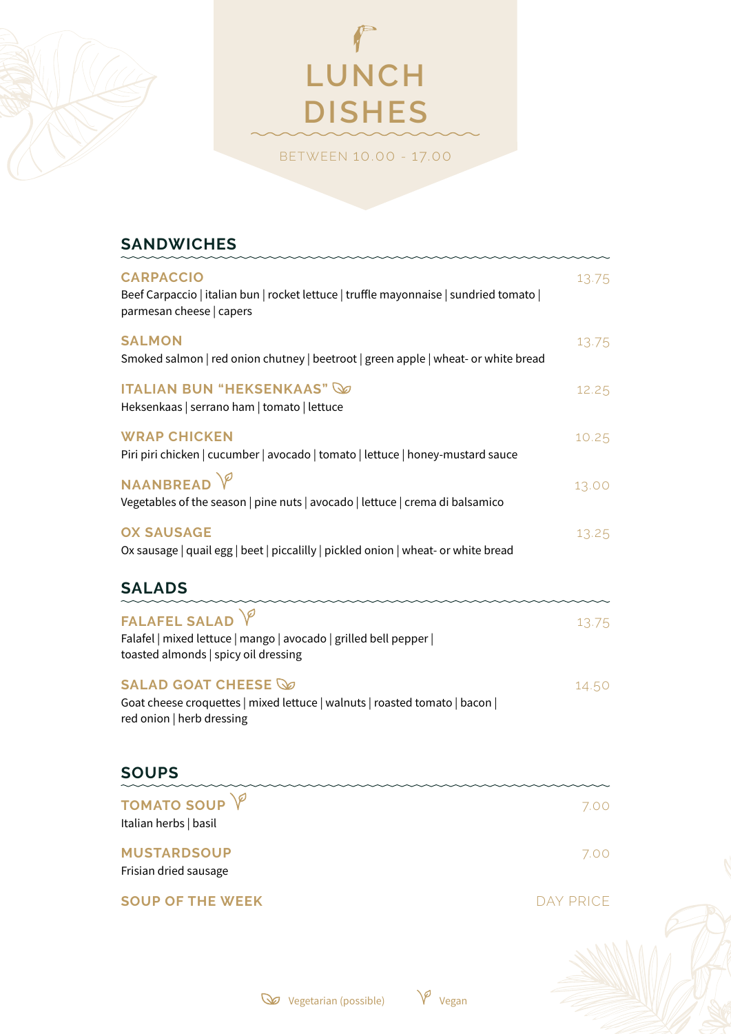# $\int_0^\infty$ **LUNCH DISHES**

BETWEEN 10.00 - 17.00

# **SANDWICHES**

| <b>CARPACCIO</b><br>Beef Carpaccio   italian bun   rocket lettuce   truffle mayonnaise   sundried tomato  <br>parmesan cheese   capers  | 13.75     |
|-----------------------------------------------------------------------------------------------------------------------------------------|-----------|
| <b>SALMON</b><br>Smoked salmon   red onion chutney   beetroot   green apple   wheat- or white bread                                     | 13.75     |
| <b>ITALIAN BUN "HEKSENKAAS"</b><br>Heksenkaas   serrano ham   tomato   lettuce                                                          | 12.25     |
| <b>WRAP CHICKEN</b><br>Piri piri chicken   cucumber   avocado   tomato   lettuce   honey-mustard sauce                                  | 10.25     |
| NAANBREAD $\mathcal V$<br>Vegetables of the season   pine nuts   avocado   lettuce   crema di balsamico                                 | 13.00     |
| <b>OX SAUSAGE</b><br>Ox sausage   quail egg   beet   piccalilly   pickled onion   wheat- or white bread                                 | 13.25     |
| <b>SALADS</b>                                                                                                                           |           |
| FALAFEL SALAD $\mathcal V$<br>Falafel   mixed lettuce   mango   avocado   grilled bell pepper  <br>toasted almonds   spicy oil dressing | 13.75     |
| <b>SALAD GOAT CHEESE VO</b><br>Goat cheese croquettes   mixed lettuce   walnuts   roasted tomato   bacon  <br>red onion   herb dressing | 14.50     |
| <b>SOUPS</b>                                                                                                                            |           |
| <b>TOMATO SOUP</b> $\mathcal V$<br>Italian herbs   basil                                                                                | 7.00      |
| <b>MUSTARDSOUP</b><br>Frisian dried sausage                                                                                             | 7.00      |
| <b>SOUP OF THE WEEK</b>                                                                                                                 | DAY PRICE |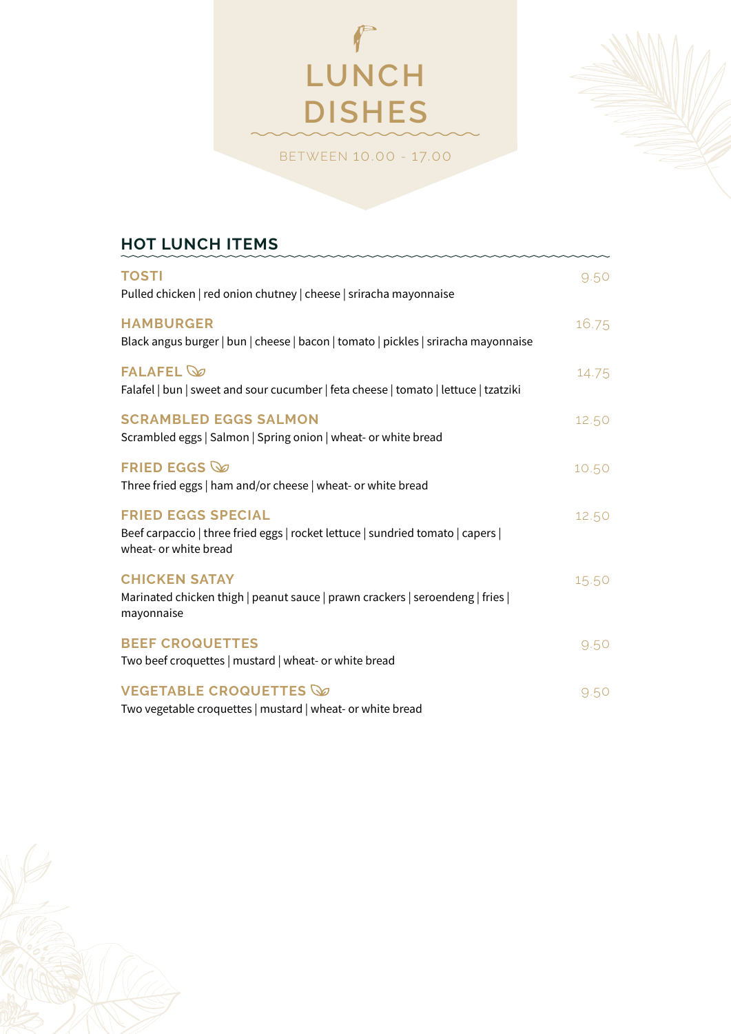# $\int_{0}^{\infty}$ **LUNCH DISHES**



BETWEEN 10.00 - 17.00

# **HOT LUNCH ITEMS**

| <b>TOSTI</b><br>Pulled chicken   red onion chutney   cheese   sriracha mayonnaise                                                     | 9.50  |
|---------------------------------------------------------------------------------------------------------------------------------------|-------|
| <b>HAMBURGER</b><br>Black angus burger   bun   cheese   bacon   tomato   pickles   sriracha mayonnaise                                | 16.75 |
| FALAFEL <sup>W</sup><br>Falafel   bun   sweet and sour cucumber   feta cheese   tomato   lettuce   tzatziki                           | 14.75 |
| <b>SCRAMBLED EGGS SALMON</b><br>Scrambled eggs   Salmon   Spring onion   wheat- or white bread                                        | 12.50 |
| <b>FRIED EGGS W</b><br>Three fried eggs   ham and/or cheese   wheat- or white bread                                                   | 10.50 |
| <b>FRIED EGGS SPECIAL</b><br>Beef carpaccio   three fried eggs   rocket lettuce   sundried tomato   capers  <br>wheat- or white bread | 12.50 |
| <b>CHICKEN SATAY</b><br>Marinated chicken thigh   peanut sauce   prawn crackers   seroendeng   fries  <br>mayonnaise                  | 15.50 |
| <b>BEEF CROQUETTES</b><br>Two beef croquettes   mustard   wheat- or white bread                                                       | 9.50  |
| <b>VEGETABLE CROQUETTES</b><br>Two vegetable croquettes   mustard   wheat- or white bread                                             | 9.50  |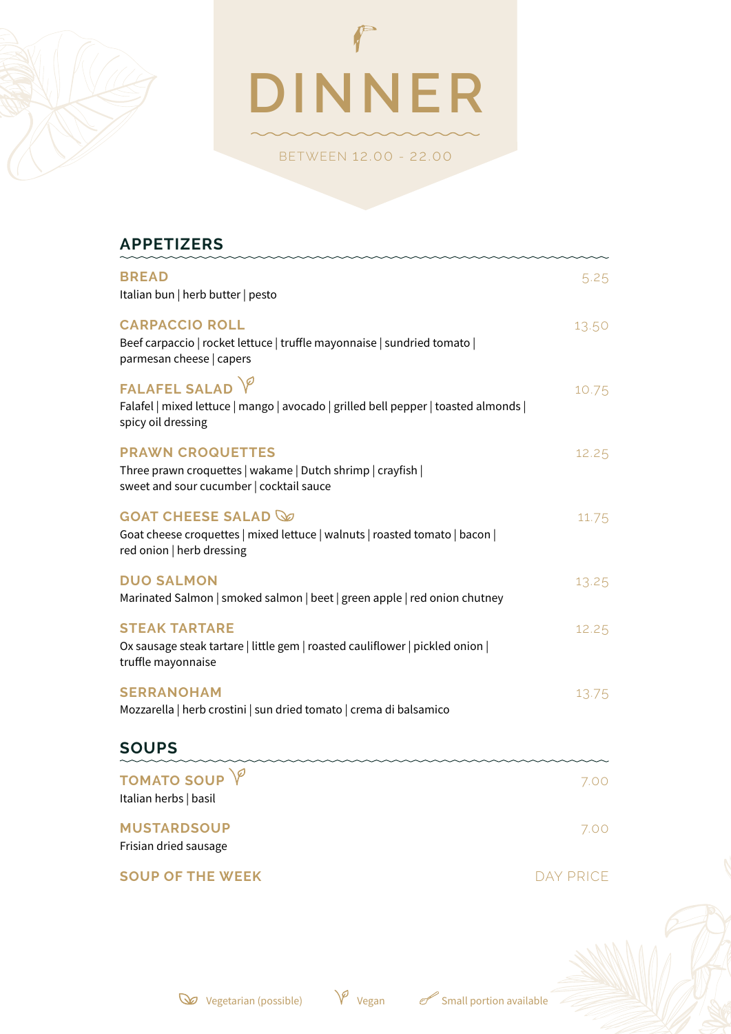

BETWEEN 12.00 - 22.00

# **APPETIZERS**

| <b>BREAD</b><br>Italian bun   herb butter   pesto                                                                                       | 5.25  |
|-----------------------------------------------------------------------------------------------------------------------------------------|-------|
| <b>CARPACCIO ROLL</b><br>Beef carpaccio   rocket lettuce   truffle mayonnaise   sundried tomato  <br>parmesan cheese   capers           | 13.50 |
| FALAFEL SALAD $\mathcal V$<br>Falafel   mixed lettuce   mango   avocado   grilled bell pepper   toasted almonds  <br>spicy oil dressing | 10.75 |
| <b>PRAWN CROQUETTES</b><br>Three prawn croquettes   wakame   Dutch shrimp   crayfish  <br>sweet and sour cucumber   cocktail sauce      | 12.25 |
| <b>GOAT CHEESE SALAD W</b><br>Goat cheese croquettes   mixed lettuce   walnuts   roasted tomato   bacon  <br>red onion   herb dressing  | 11.75 |
| <b>DUO SALMON</b><br>Marinated Salmon   smoked salmon   beet   green apple   red onion chutney                                          | 13.25 |
| <b>STEAK TARTARE</b><br>Ox sausage steak tartare   little gem   roasted cauliflower   pickled onion  <br>truffle mayonnaise             | 12.25 |
| <b>SERRANOHAM</b><br>Mozzarella   herb crostini   sun dried tomato   crema di balsamico                                                 | 13.75 |
| <b>SOUPS</b>                                                                                                                            |       |
| <b>TOMATO SOUP</b> $\mathcal V$                                                                                                         | 7.00  |

Italian herbs | basil **MUSTARDSOUP** 7.00 Frisian dried sausage **SOUP OF THE WEEK DAY PRICE**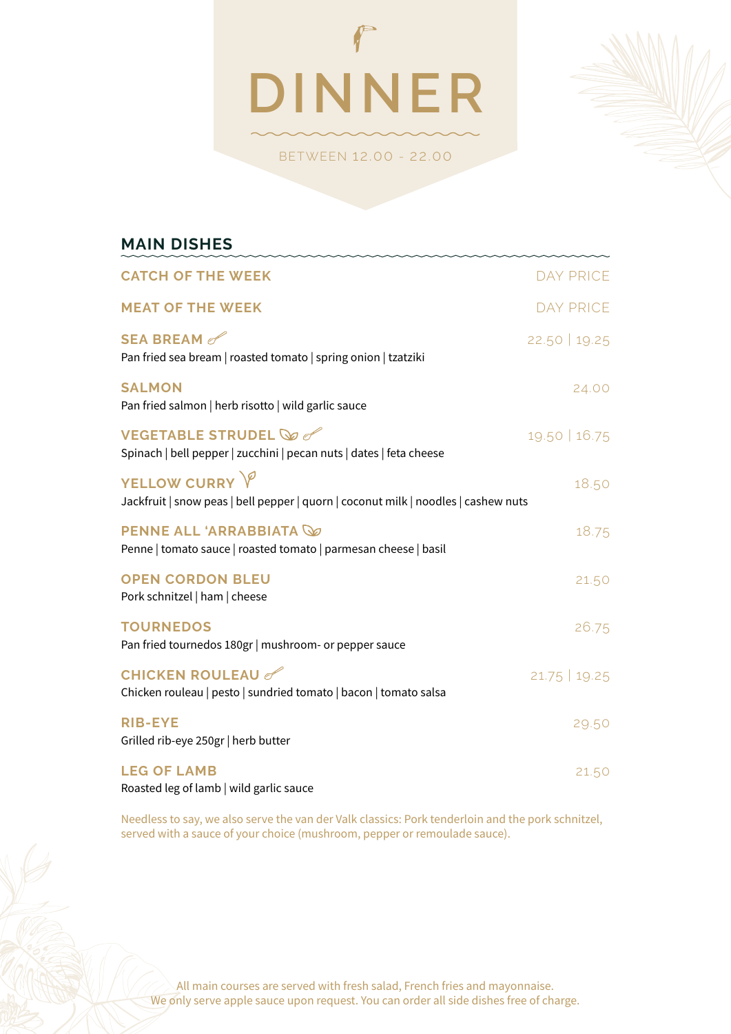**DINNER**



BETWEEN 12.00 - 22.00

#### **MAIN DISHES**

| <b>CATCH OF THE WEEK</b>                                                                                | <b>DAY PRICE</b> |
|---------------------------------------------------------------------------------------------------------|------------------|
| <b>MEAT OF THE WEEK</b>                                                                                 | <b>DAY PRICE</b> |
| <b>SEA BREAM</b><br>Pan fried sea bream   roasted tomato   spring onion   tzatziki                      | $22.50$   19.25  |
| <b>SALMON</b><br>Pan fried salmon   herb risotto   wild garlic sauce                                    | 24.00            |
| <b>VEGETABLE STRUDEL Veralle</b><br>Spinach   bell pepper   zucchini   pecan nuts   dates   feta cheese | 19.50   16.75    |
| YELLOW CURRY P<br>Jackfruit   snow peas   bell pepper   quorn   coconut milk   noodles   cashew nuts    | 18.50            |
| <b>PENNE ALL 'ARRABBIATA VO</b><br>Penne   tomato sauce   roasted tomato   parmesan cheese   basil      | 18.75            |
| <b>OPEN CORDON BLEU</b><br>Pork schnitzel   ham   cheese                                                | 21.50            |
| <b>TOURNEDOS</b><br>Pan fried tournedos 180gr   mushroom- or pepper sauce                               | 26.75            |
| <b>CHICKEN ROULEAU</b><br>Chicken rouleau   pesto   sundried tomato   bacon   tomato salsa              | $21.75$   19.25  |
| <b>RIB-EYE</b><br>Grilled rib-eye 250gr   herb butter                                                   | 29.50            |
| <b>LEG OF LAMB</b><br>Roasted leg of lamb   wild garlic sauce                                           | 21.50            |

Needless to say, we also serve the van der Valk classics: Pork tenderloin and the pork schnitzel, served with a sauce of your choice (mushroom, pepper or remoulade sauce).

All main courses are served with fresh salad, French fries and mayonnaise. We only serve apple sauce upon request. You can order all side dishes free of charge.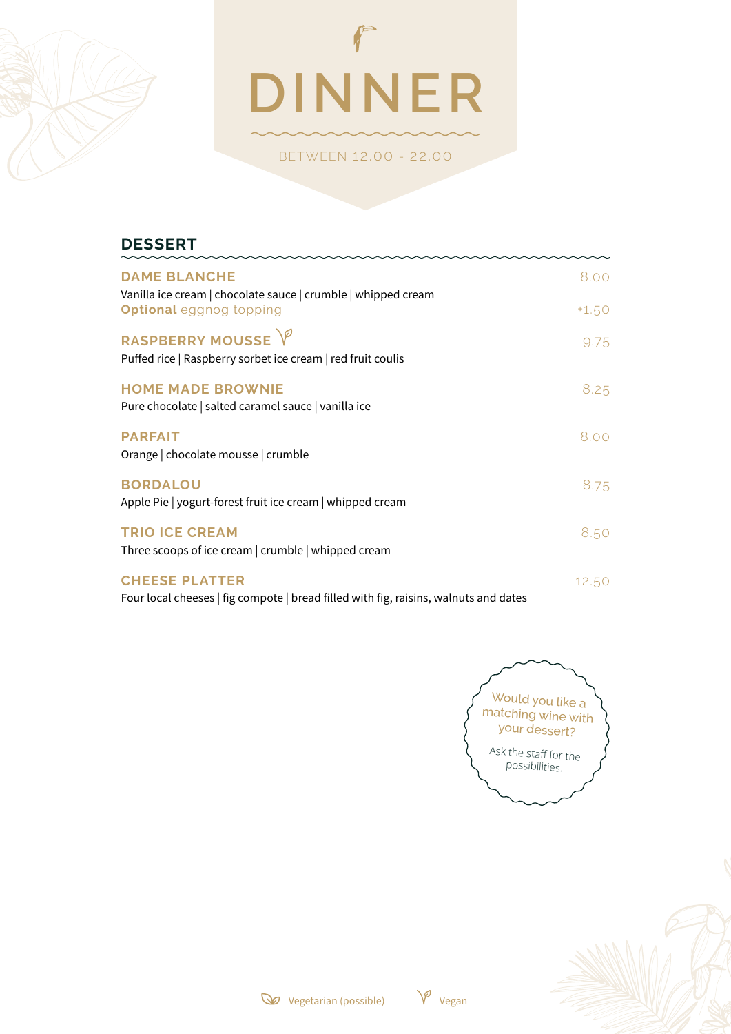

BETWEEN 12.00 - 22.00

# **DESSERT**

| <b>DAME BLANCHE</b>                                                                                           | 8.00    |
|---------------------------------------------------------------------------------------------------------------|---------|
| Vanilla ice cream   chocolate sauce   crumble   whipped cream<br><b>Optional</b> eggnog topping               | $+1.50$ |
| RASPBERRY MOUSSE P<br>Puffed rice   Raspberry sorbet ice cream   red fruit coulis                             | 9.75    |
| <b>HOME MADE BROWNIE</b><br>Pure chocolate   salted caramel sauce   vanilla ice                               | 8.25    |
| <b>PARFAIT</b><br>Orange   chocolate mousse   crumble                                                         | 8.00    |
| <b>BORDALOU</b><br>Apple Pie   yogurt-forest fruit ice cream   whipped cream                                  | 8.75    |
| <b>TRIO ICE CREAM</b><br>Three scoops of ice cream   crumble   whipped cream                                  | 8.50    |
| <b>CHEESE PLATTER</b><br>Four local cheeses   fig compote   bread filled with fig, raisins, walnuts and dates | 12.50   |

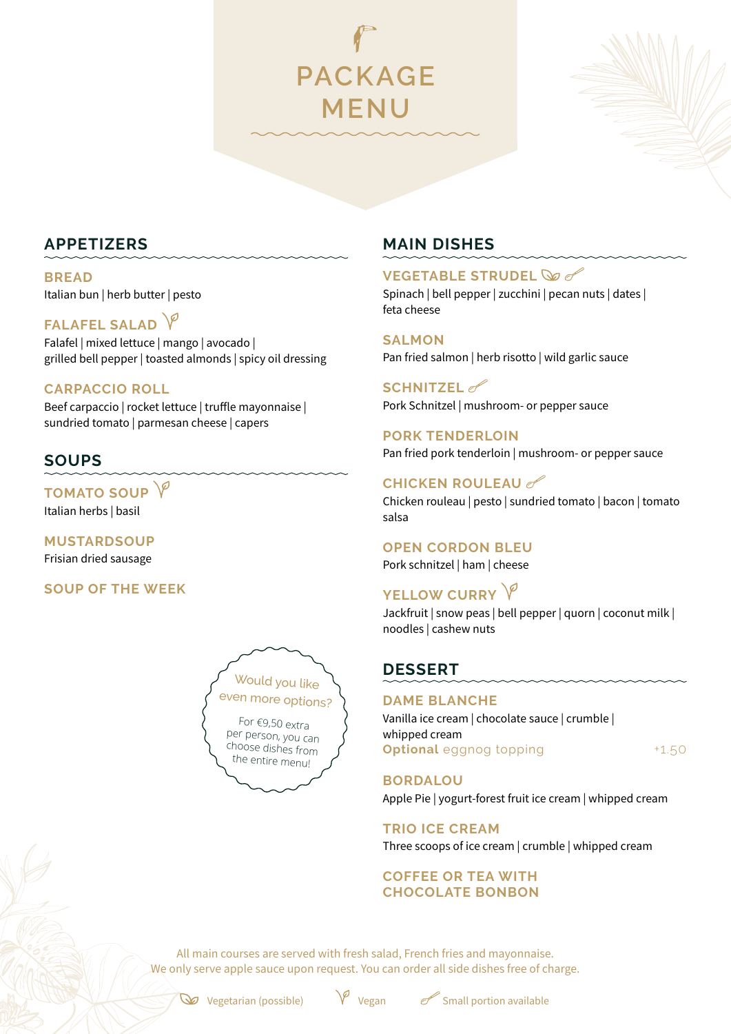# **PACKAGE MENU**



# **APPETIZERS**

**BREAD** Italian bun | herb butter | pesto

# **FALAFEL SALAD**

Falafel | mixed lettuce | mango | avocado | grilled bell pepper | toasted almonds | spicy oil dressing

#### **CARPACCIO ROLL**

Beef carpaccio | rocket lettuce | truffle mayonnaise | sundried tomato | parmesan cheese | capers

# **SOUPS**

**TOMATO SOUP** 

Italian herbs | basil

# **MUSTARDSOUP**

Frisian dried sausage

#### **SOUP OF THE WEEK**



# **MAIN DISHES**

#### **VEGETABLE STRUDEL**

Spinach | bell pepper | zucchini | pecan nuts | dates | feta cheese

**SALMON** Pan fried salmon | herb risotto | wild garlic sauce

**SCHNITZEL**  Pork Schnitzel | mushroom- or pepper sauce

#### **PORK TENDERLOIN**

Pan fried pork tenderloin | mushroom- or pepper sauce

#### **CHICKEN ROULEAU**

Chicken rouleau | pesto | sundried tomato | bacon | tomato salsa

**OPEN CORDON BLEU** Pork schnitzel | ham | cheese

**YELLOW CURRY**  Jackfruit | snow peas | bell pepper | quorn | coconut milk | noodles | cashew nuts

# **DESSERT**

#### **DAME BLANCHE**

Vanilla ice cream | chocolate sauce | crumble | whipped cream **Optional** eggnog topping  $+1.50$ 

#### **BORDALOU**

Apple Pie | yogurt-forest fruit ice cream | whipped cream

**TRIO ICE CREAM** Three scoops of ice cream | crumble | whipped cream

#### **COFFEE OR TEA WITH CHOCOLATE BONBON**

All main courses are served with fresh salad, French fries and mayonnaise. We only serve apple sauce upon request. You can order all side dishes free of charge.



 $\bigotimes$  Vegetarian (possible)  $\bigvee^{\varphi}$  Vegan  $\mathscr{O}$  Small portion available